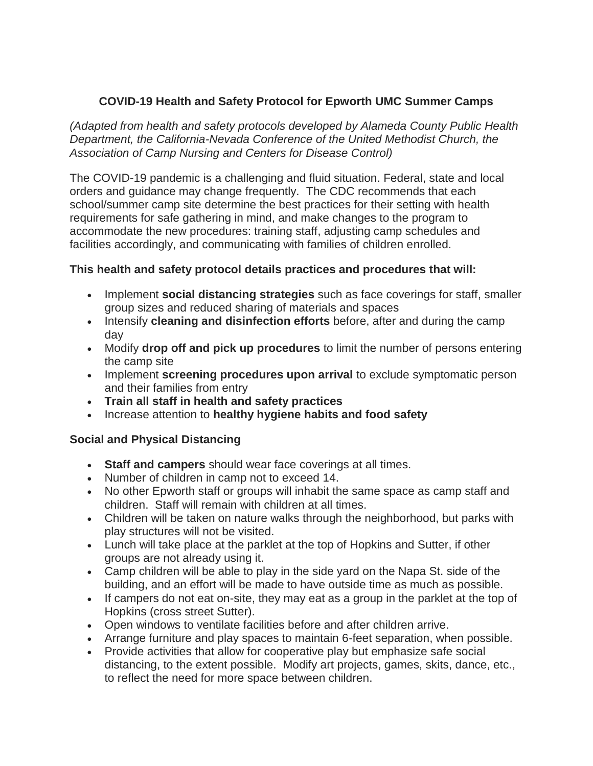### **COVID-19 Health and Safety Protocol for Epworth UMC Summer Camps**

*(Adapted from health and safety protocols developed by Alameda County Public Health Department, the California-Nevada Conference of the United Methodist Church, the Association of Camp Nursing and Centers for Disease Control)*

The COVID-19 pandemic is a challenging and fluid situation. Federal, state and local orders and guidance may change frequently. The CDC recommends that each school/summer camp site determine the best practices for their setting with health requirements for safe gathering in mind, and make changes to the program to accommodate the new procedures: training staff, adjusting camp schedules and facilities accordingly, and communicating with families of children enrolled.

#### **This health and safety protocol details practices and procedures that will:**

- Implement **social distancing strategies** such as face coverings for staff, smaller group sizes and reduced sharing of materials and spaces
- Intensify **cleaning and disinfection efforts** before, after and during the camp day
- Modify **drop off and pick up procedures** to limit the number of persons entering the camp site
- Implement **screening procedures upon arrival** to exclude symptomatic person and their families from entry
- **Train all staff in health and safety practices**
- Increase attention to **healthy hygiene habits and food safety**

#### **Social and Physical Distancing**

- **Staff and campers** should wear face coverings at all times.
- Number of children in camp not to exceed 14.
- No other Epworth staff or groups will inhabit the same space as camp staff and children. Staff will remain with children at all times.
- Children will be taken on nature walks through the neighborhood, but parks with play structures will not be visited.
- Lunch will take place at the parklet at the top of Hopkins and Sutter, if other groups are not already using it.
- Camp children will be able to play in the side yard on the Napa St. side of the building, and an effort will be made to have outside time as much as possible.
- If campers do not eat on-site, they may eat as a group in the parklet at the top of Hopkins (cross street Sutter).
- Open windows to ventilate facilities before and after children arrive.
- Arrange furniture and play spaces to maintain 6-feet separation, when possible.
- Provide activities that allow for cooperative play but emphasize safe social distancing, to the extent possible. Modify art projects, games, skits, dance, etc., to reflect the need for more space between children.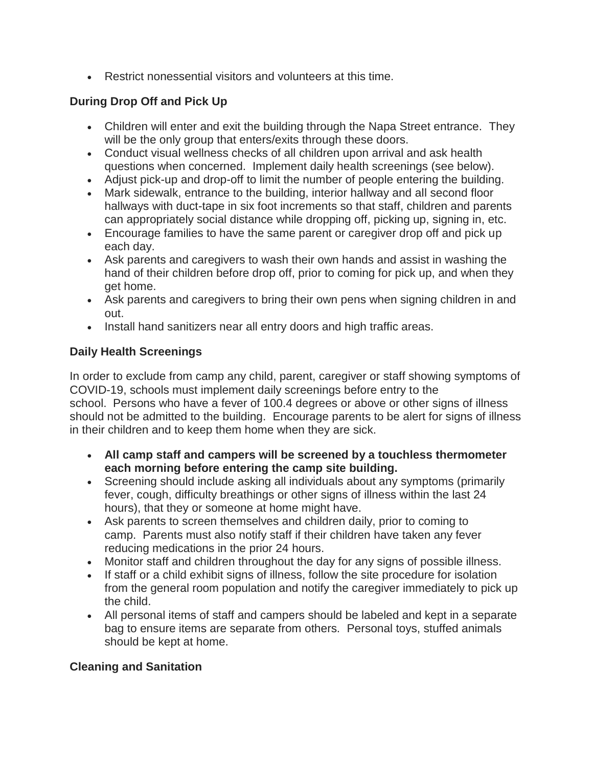Restrict nonessential visitors and volunteers at this time.

### **During Drop Off and Pick Up**

- Children will enter and exit the building through the Napa Street entrance. They will be the only group that enters/exits through these doors.
- Conduct visual wellness checks of all children upon arrival and ask health questions when concerned. Implement daily health screenings (see below).
- Adjust pick-up and drop-off to limit the number of people entering the building.
- Mark sidewalk, entrance to the building, interior hallway and all second floor hallways with duct-tape in six foot increments so that staff, children and parents can appropriately social distance while dropping off, picking up, signing in, etc.
- Encourage families to have the same parent or caregiver drop off and pick up each day.
- Ask parents and caregivers to wash their own hands and assist in washing the hand of their children before drop off, prior to coming for pick up, and when they get home.
- Ask parents and caregivers to bring their own pens when signing children in and out.
- Install hand sanitizers near all entry doors and high traffic areas.

### **Daily Health Screenings**

In order to exclude from camp any child, parent, caregiver or staff showing symptoms of COVID-19, schools must implement daily screenings before entry to the school. Persons who have a fever of 100.4 degrees or above or other signs of illness should not be admitted to the building. Encourage parents to be alert for signs of illness in their children and to keep them home when they are sick.

- **All camp staff and campers will be screened by a touchless thermometer each morning before entering the camp site building.**
- Screening should include asking all individuals about any symptoms (primarily fever, cough, difficulty breathings or other signs of illness within the last 24 hours), that they or someone at home might have.
- Ask parents to screen themselves and children daily, prior to coming to camp. Parents must also notify staff if their children have taken any fever reducing medications in the prior 24 hours.
- Monitor staff and children throughout the day for any signs of possible illness.
- If staff or a child exhibit signs of illness, follow the site procedure for isolation from the general room population and notify the caregiver immediately to pick up the child.
- All personal items of staff and campers should be labeled and kept in a separate bag to ensure items are separate from others. Personal toys, stuffed animals should be kept at home.

# **Cleaning and Sanitation**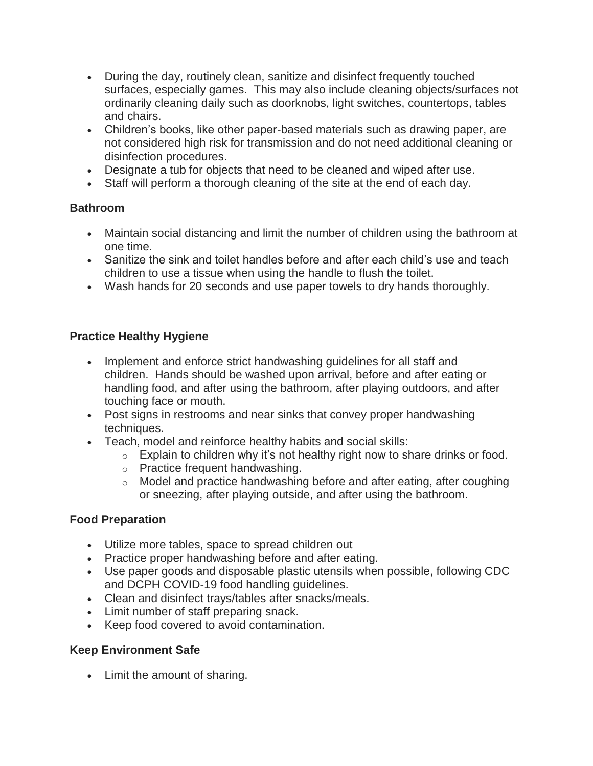- During the day, routinely clean, sanitize and disinfect frequently touched surfaces, especially games. This may also include cleaning objects/surfaces not ordinarily cleaning daily such as doorknobs, light switches, countertops, tables and chairs.
- Children's books, like other paper-based materials such as drawing paper, are not considered high risk for transmission and do not need additional cleaning or disinfection procedures.
- Designate a tub for objects that need to be cleaned and wiped after use.
- Staff will perform a thorough cleaning of the site at the end of each day.

### **Bathroom**

- Maintain social distancing and limit the number of children using the bathroom at one time.
- Sanitize the sink and toilet handles before and after each child's use and teach children to use a tissue when using the handle to flush the toilet.
- Wash hands for 20 seconds and use paper towels to dry hands thoroughly.

### **Practice Healthy Hygiene**

- Implement and enforce strict handwashing guidelines for all staff and children. Hands should be washed upon arrival, before and after eating or handling food, and after using the bathroom, after playing outdoors, and after touching face or mouth.
- Post signs in restrooms and near sinks that convey proper handwashing techniques.
- Teach, model and reinforce healthy habits and social skills:
	- $\circ$  Explain to children why it's not healthy right now to share drinks or food.
	- o Practice frequent handwashing.
	- o Model and practice handwashing before and after eating, after coughing or sneezing, after playing outside, and after using the bathroom.

### **Food Preparation**

- Utilize more tables, space to spread children out
- Practice proper handwashing before and after eating.
- Use paper goods and disposable plastic utensils when possible, following CDC and DCPH COVID-19 food handling guidelines.
- Clean and disinfect trays/tables after snacks/meals.
- Limit number of staff preparing snack.
- Keep food covered to avoid contamination.

# **Keep Environment Safe**

• Limit the amount of sharing.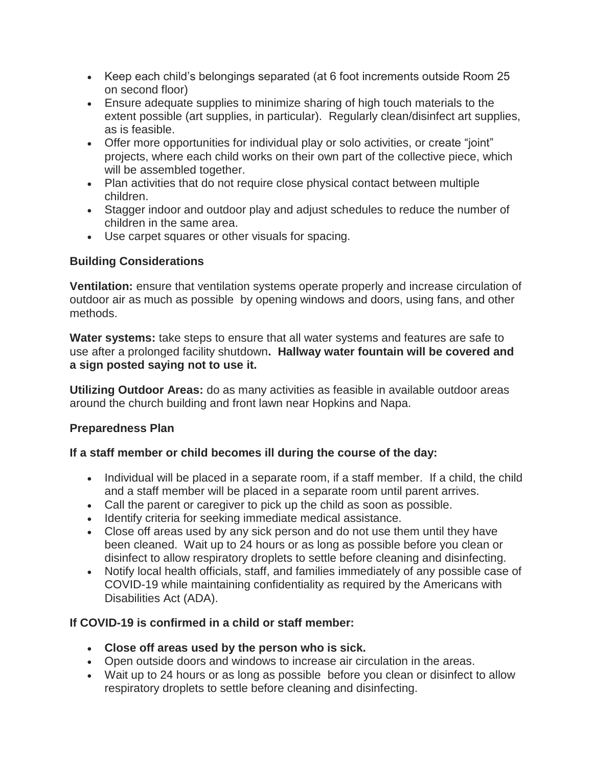- Keep each child's belongings separated (at 6 foot increments outside Room 25 on second floor)
- Ensure adequate supplies to minimize sharing of high touch materials to the extent possible (art supplies, in particular). Regularly clean/disinfect art supplies, as is feasible.
- Offer more opportunities for individual play or solo activities, or create "joint" projects, where each child works on their own part of the collective piece, which will be assembled together.
- Plan activities that do not require close physical contact between multiple children.
- Stagger indoor and outdoor play and adjust schedules to reduce the number of children in the same area.
- Use carpet squares or other visuals for spacing.

# **Building Considerations**

**Ventilation:** ensure that ventilation systems operate properly and increase circulation of outdoor air as much as possible by opening windows and doors, using fans, and other methods.

**Water systems:** take steps to ensure that all water systems and features are safe to use after a prolonged facility shutdown**. Hallway water fountain will be covered and a sign posted saying not to use it.**

**Utilizing Outdoor Areas:** do as many activities as feasible in available outdoor areas around the church building and front lawn near Hopkins and Napa.

### **Preparedness Plan**

### **If a staff member or child becomes ill during the course of the day:**

- Individual will be placed in a separate room, if a staff member. If a child, the child and a staff member will be placed in a separate room until parent arrives.
- Call the parent or caregiver to pick up the child as soon as possible.
- Identify criteria for seeking immediate medical assistance.
- Close off areas used by any sick person and do not use them until they have been cleaned. Wait up to 24 hours or as long as possible before you clean or disinfect to allow respiratory droplets to settle before cleaning and disinfecting.
- Notify local health officials, staff, and families immediately of any possible case of COVID-19 while maintaining confidentiality as required by the Americans with Disabilities Act (ADA).

# **If COVID-19 is confirmed in a child or staff member:**

- **Close off areas used by the person who is sick.**
- Open outside doors and windows to increase air circulation in the areas.
- Wait up to 24 hours or as long as possible before you clean or disinfect to allow respiratory droplets to settle before cleaning and disinfecting.